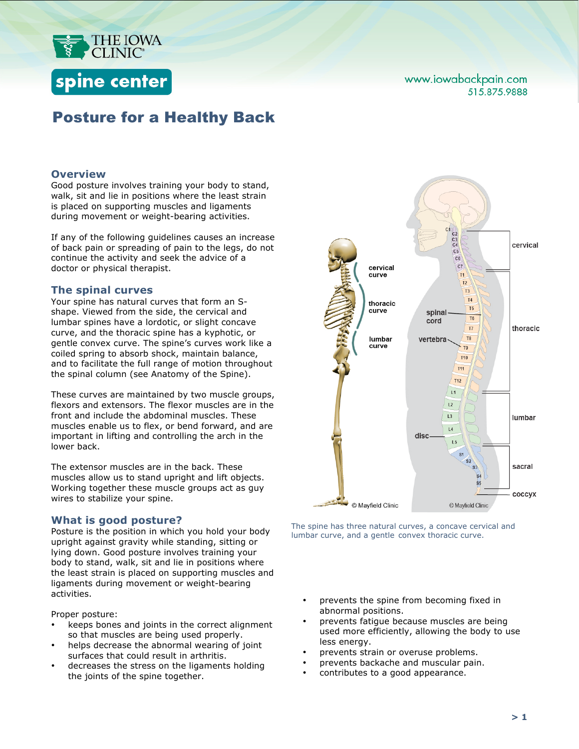

# spine center

# www.iowabackpain.com 515.875.9888

# Posture for a Healthy Back

### **Overview**

Good posture involves training your body to stand, walk, sit and lie in positions where the least strain is placed on supporting muscles and ligaments during movement or weight-bearing activities.

If any of the following guidelines causes an increase of back pain or spreading of pain to the legs, do not continue the activity and seek the advice of a doctor or physical therapist.

#### **The spinal curves**

Your spine has natural curves that form an Sshape. Viewed from the side, the cervical and lumbar spines have a lordotic, or slight concave curve, and the thoracic spine has a kyphotic, or gentle convex curve. The spine's curves work like a coiled spring to absorb shock, maintain balance, and to facilitate the full range of motion throughout the spinal column (see Anatomy of the Spine).

These curves are maintained by two muscle groups, flexors and extensors. The flexor muscles are in the front and include the abdominal muscles. These muscles enable us to flex, or bend forward, and are important in lifting and controlling the arch in the lower back.

The extensor muscles are in the back. These muscles allow us to stand upright and lift objects. Working together these muscle groups act as guy wires to stabilize your spine.

#### **What is good posture?**

Posture is the position in which you hold your body upright against gravity while standing, sitting or lying down. Good posture involves training your body to stand, walk, sit and lie in positions where the least strain is placed on supporting muscles and ligaments during movement or weight-bearing activities.

Proper posture:

- keeps bones and joints in the correct alignment so that muscles are being used properly.
- helps decrease the abnormal wearing of joint surfaces that could result in arthritis.
- decreases the stress on the ligaments holding the joints of the spine together.



The spine has three natural curves, a concave cervical and lumbar curve, and a gentle convex thoracic curve.

- prevents the spine from becoming fixed in abnormal positions.
- prevents fatigue because muscles are being used more efficiently, allowing the body to use less energy.
- prevents strain or overuse problems.
- prevents backache and muscular pain.
- contributes to a good appearance.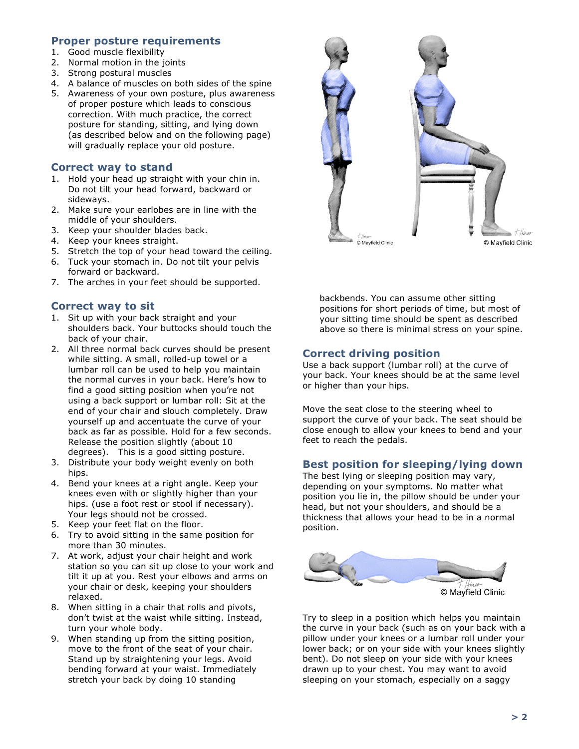# **Proper posture requirements**

- 1. Good muscle flexibility
- 2. Normal motion in the joints
- 3. Strong postural muscles
- 4. A balance of muscles on both sides of the spine
- 5. Awareness of your own posture, plus awareness of proper posture which leads to conscious correction. With much practice, the correct posture for standing, sitting, and lying down (as described below and on the following page) will gradually replace your old posture.

### **Correct way to stand**

- 1. Hold your head up straight with your chin in. Do not tilt your head forward, backward or sideways.
- 2. Make sure your earlobes are in line with the middle of your shoulders.
- 3. Keep your shoulder blades back.
- 4. Keep your knees straight.
- 5. Stretch the top of your head toward the ceiling.
- 6. Tuck your stomach in. Do not tilt your pelvis forward or backward.
- 7. The arches in your feet should be supported.

# **Correct way to sit**

- 1. Sit up with your back straight and your shoulders back. Your buttocks should touch the back of your chair.
- 2. All three normal back curves should be present while sitting. A small, rolled-up towel or a lumbar roll can be used to help you maintain the normal curves in your back. Here's how to find a good sitting position when you're not using a back support or lumbar roll: Sit at the end of your chair and slouch completely. Draw yourself up and accentuate the curve of your back as far as possible. Hold for a few seconds. Release the position slightly (about 10 degrees). This is a good sitting posture.
- 3. Distribute your body weight evenly on both hips.
- 4. Bend your knees at a right angle. Keep your knees even with or slightly higher than your hips. (use a foot rest or stool if necessary). Your legs should not be crossed.
- 5. Keep your feet flat on the floor.
- 6. Try to avoid sitting in the same position for more than 30 minutes.
- 7. At work, adjust your chair height and work station so you can sit up close to your work and tilt it up at you. Rest your elbows and arms on your chair or desk, keeping your shoulders relaxed.
- 8. When sitting in a chair that rolls and pivots, don't twist at the waist while sitting. Instead, turn your whole body.
- 9. When standing up from the sitting position, move to the front of the seat of your chair. Stand up by straightening your legs. Avoid bending forward at your waist. Immediately stretch your back by doing 10 standing



backbends. You can assume other sitting positions for short periods of time, but most of your sitting time should be spent as described above so there is minimal stress on your spine.

# **Correct driving position**

Use a back support (lumbar roll) at the curve of your back. Your knees should be at the same level or higher than your hips.

Move the seat close to the steering wheel to support the curve of your back. The seat should be close enough to allow your knees to bend and your feet to reach the pedals.

## **Best position for sleeping/lying down**

The best lying or sleeping position may vary, depending on your symptoms. No matter what position you lie in, the pillow should be under your head, but not your shoulders, and should be a thickness that allows your head to be in a normal position.



© Mayfield Clinic

Try to sleep in a position which helps you maintain the curve in your back (such as on your back with a pillow under your knees or a lumbar roll under your lower back; or on your side with your knees slightly bent). Do not sleep on your side with your knees drawn up to your chest. You may want to avoid sleeping on your stomach, especially on a saggy